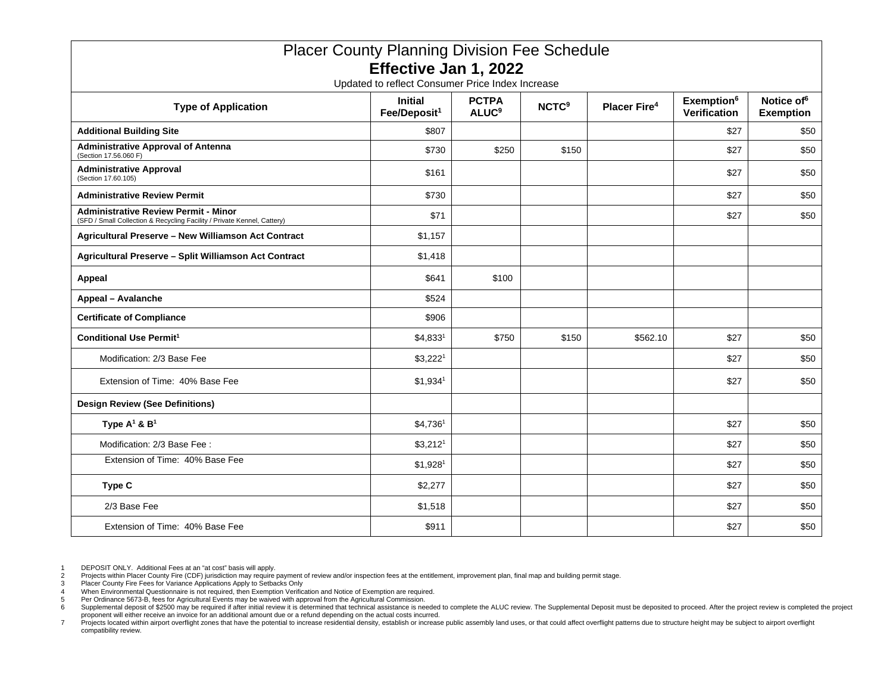| <b>Placer County Planning Division Fee Schedule</b>                                                                    |                                            |                                         |                         |                                |                                        |                                            |
|------------------------------------------------------------------------------------------------------------------------|--------------------------------------------|-----------------------------------------|-------------------------|--------------------------------|----------------------------------------|--------------------------------------------|
| Effective Jan 1, 2022<br>Updated to reflect Consumer Price Index Increase                                              |                                            |                                         |                         |                                |                                        |                                            |
| <b>Type of Application</b>                                                                                             | <b>Initial</b><br>Fee/Deposit <sup>1</sup> | <b>PCTPA</b><br><b>ALUC<sup>9</sup></b> | <b>NCTC<sup>9</sup></b> | <b>Placer Fire<sup>4</sup></b> | Exemption <sup>6</sup><br>Verification | Notice of <sup>6</sup><br><b>Exemption</b> |
| <b>Additional Building Site</b>                                                                                        | \$807                                      |                                         |                         |                                | \$27                                   | \$50                                       |
| <b>Administrative Approval of Antenna</b><br>(Section 17.56.060 F)                                                     | \$730                                      | \$250                                   | \$150                   |                                | \$27                                   | \$50                                       |
| <b>Administrative Approval</b><br>(Section 17.60.105)                                                                  | \$161                                      |                                         |                         |                                | \$27                                   | \$50                                       |
| <b>Administrative Review Permit</b>                                                                                    | \$730                                      |                                         |                         |                                | \$27                                   | \$50                                       |
| <b>Administrative Review Permit - Minor</b><br>(SFD / Small Collection & Recycling Facility / Private Kennel, Cattery) | \$71                                       |                                         |                         |                                | \$27                                   | \$50                                       |
| Agricultural Preserve - New Williamson Act Contract                                                                    | \$1,157                                    |                                         |                         |                                |                                        |                                            |
| Agricultural Preserve - Split Williamson Act Contract                                                                  | \$1,418                                    |                                         |                         |                                |                                        |                                            |
| <b>Appeal</b>                                                                                                          | \$641                                      | \$100                                   |                         |                                |                                        |                                            |
| <b>Appeal - Avalanche</b>                                                                                              | \$524                                      |                                         |                         |                                |                                        |                                            |
| <b>Certificate of Compliance</b>                                                                                       | \$906                                      |                                         |                         |                                |                                        |                                            |
| <b>Conditional Use Permit<sup>1</sup></b>                                                                              | $$4,833^1$                                 | \$750                                   | \$150                   | \$562.10                       | \$27                                   | \$50                                       |
| Modification: 2/3 Base Fee                                                                                             | \$3,222 <sup>1</sup>                       |                                         |                         |                                | \$27                                   | \$50                                       |
| Extension of Time: 40% Base Fee                                                                                        | $$1,934$ <sup>1</sup>                      |                                         |                         |                                | \$27                                   | \$50                                       |
| <b>Design Review (See Definitions)</b>                                                                                 |                                            |                                         |                         |                                |                                        |                                            |
| Type $A^1$ & $B^1$                                                                                                     | $$4,736^1$                                 |                                         |                         |                                | \$27                                   | \$50                                       |
| Modification: 2/3 Base Fee:                                                                                            | \$3,212 <sup>1</sup>                       |                                         |                         |                                | \$27                                   | \$50                                       |
| Extension of Time: 40% Base Fee                                                                                        | $$1,928$ <sup>1</sup>                      |                                         |                         |                                | \$27                                   | \$50                                       |
| Type C                                                                                                                 | \$2,277                                    |                                         |                         |                                | \$27                                   | \$50                                       |
| 2/3 Base Fee                                                                                                           | \$1,518                                    |                                         |                         |                                | \$27                                   | \$50                                       |
| Extension of Time: 40% Base Fee                                                                                        | \$911                                      |                                         |                         |                                | \$27                                   | \$50                                       |

1 DEPOSIT ONLY. Additional Fees at an "at cost" basis will apply.

<sup>2</sup> Projects within Placer County Fire (CDF) jurisdiction may require payment of review and/or inspection fees at the entitlement, improvement plan, final map and building permit stage.<br>3 Placer County Fire Fees for Variance

<sup>4</sup> When Environmental Questionnaire is not required, then Exemption Verification and Notice of Exemption are required.<br>5 Per Ordinance 5673-B. fees for Agricultural Events may be waived with approval from the Agricultural C

<sup>5</sup> Per Ordinance 5673-B, fees for Agricultural Events may be waived with approval from the Agricultural Commission.<br>6 Supplemental deposit of \$2500 may be required if after initial review it is determined that technical ass

proponent will either receive an invoice for an additional amount due or a refund depending on the actual costs incurred.<br>7 Projects located within airport overflight zones that have the potential to increase residential d compatibility review.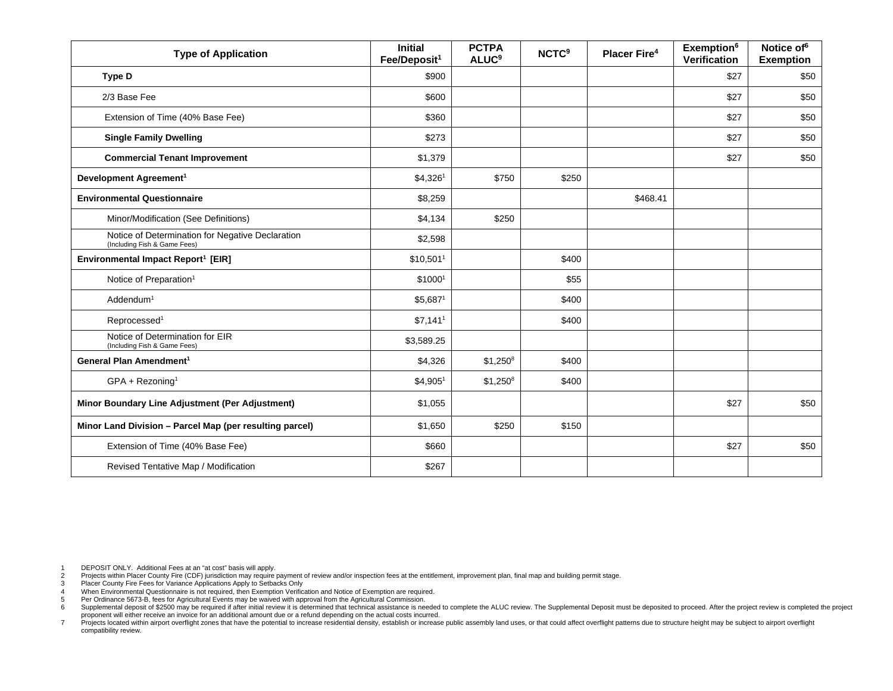| <b>Type of Application</b>                                                       | <b>Initial</b><br>Fee/Deposit <sup>1</sup> | <b>PCTPA</b><br><b>ALUC<sup>9</sup></b> | <b>NCTC<sup>9</sup></b> | <b>Placer Fire4</b> | Exemption <sup>6</sup><br>Verification | Notice of <sup>6</sup><br><b>Exemption</b> |
|----------------------------------------------------------------------------------|--------------------------------------------|-----------------------------------------|-------------------------|---------------------|----------------------------------------|--------------------------------------------|
| <b>Type D</b>                                                                    | \$900                                      |                                         |                         |                     | \$27                                   | \$50                                       |
| 2/3 Base Fee                                                                     | \$600                                      |                                         |                         |                     | \$27                                   | \$50                                       |
| Extension of Time (40% Base Fee)                                                 | \$360                                      |                                         |                         |                     | \$27                                   | \$50                                       |
| <b>Single Family Dwelling</b>                                                    | \$273                                      |                                         |                         |                     | \$27                                   | \$50                                       |
| <b>Commercial Tenant Improvement</b>                                             | \$1,379                                    |                                         |                         |                     | \$27                                   | \$50                                       |
| Development Agreement <sup>1</sup>                                               | \$4,3261                                   | \$750                                   | \$250                   |                     |                                        |                                            |
| <b>Environmental Questionnaire</b>                                               | \$8,259                                    |                                         |                         | \$468.41            |                                        |                                            |
| Minor/Modification (See Definitions)                                             | \$4,134                                    | \$250                                   |                         |                     |                                        |                                            |
| Notice of Determination for Negative Declaration<br>(Including Fish & Game Fees) | \$2,598                                    |                                         |                         |                     |                                        |                                            |
| Environmental Impact Report <sup>1</sup> [EIR]                                   | \$10,501 <sup>1</sup>                      |                                         | \$400                   |                     |                                        |                                            |
| Notice of Preparation <sup>1</sup>                                               | \$10001                                    |                                         | \$55                    |                     |                                        |                                            |
| Addendum <sup>1</sup>                                                            | $$5,687$ <sup>1</sup>                      |                                         | \$400                   |                     |                                        |                                            |
| Reprocessed <sup>1</sup>                                                         | $$7,141$ <sup>1</sup>                      |                                         | \$400                   |                     |                                        |                                            |
| Notice of Determination for EIR<br>(Including Fish & Game Fees)                  | \$3,589.25                                 |                                         |                         |                     |                                        |                                            |
| General Plan Amendment <sup>1</sup>                                              | \$4,326                                    | $$1,250^8$                              | \$400                   |                     |                                        |                                            |
| $GPA + Rezoning1$                                                                | \$4,905 <sup>1</sup>                       | $$1,250^8$                              | \$400                   |                     |                                        |                                            |
| Minor Boundary Line Adjustment (Per Adjustment)                                  | \$1,055                                    |                                         |                         |                     | \$27                                   | \$50                                       |
| Minor Land Division - Parcel Map (per resulting parcel)                          | \$1,650                                    | \$250                                   | \$150                   |                     |                                        |                                            |
| Extension of Time (40% Base Fee)                                                 | \$660                                      |                                         |                         |                     | \$27                                   | \$50                                       |
| Revised Tentative Map / Modification                                             | \$267                                      |                                         |                         |                     |                                        |                                            |

1 DEPOSIT ONLY. Additional Fees at an "at cost" basis will apply.

<sup>2</sup> Projects within Placer County Fire (CDF) jurisdiction may require payment of review and/or inspection fees at the entitlement, improvement plan, final map and building permit stage.<br>3 Placer County Fire Fees for Variance

<sup>4</sup> When Environmental Questionnaire is not required, then Exemption Verification and Notice of Exemption are required.<br>5 Per Ordinance 5673-B. fees for Agricultural Events may be waived with approval from the Agricultural C

<sup>5</sup> Per Ordinance 5673-B, fees for Agricultural Events may be waived with approval from the Agricultural Commission.<br>6 Supplemental deposit of \$2500 may be required if after initial review it is determined that technical ass

proponent will either receive an invoice for an additional amount due or a refund depending on the actual costs incurred.<br>7 Projects located within airport overflight zones that have the potential to increase residential d compatibility review.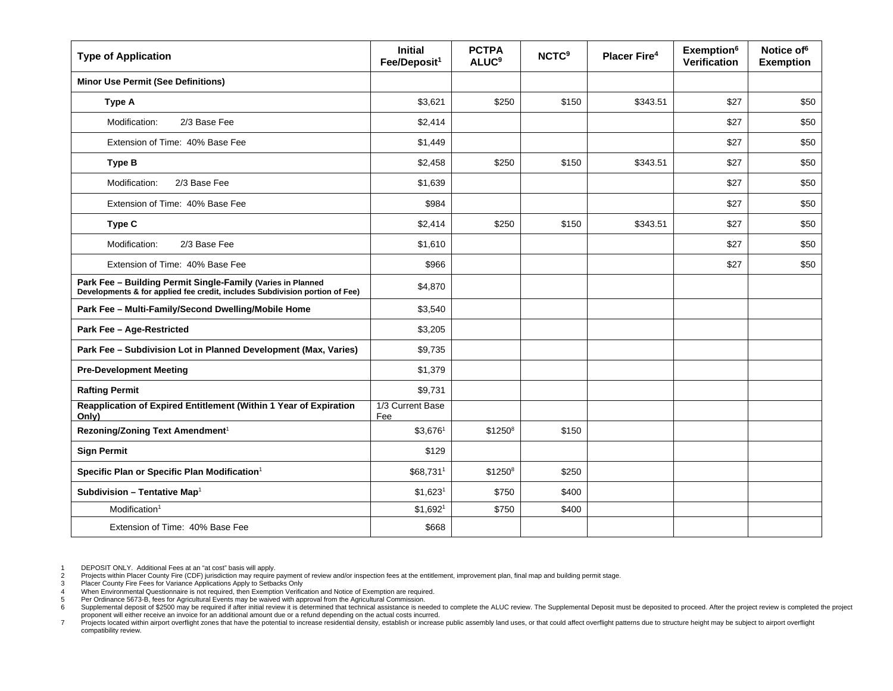| <b>Type of Application</b>                                                                                                                                                    | <b>Initial</b><br>Fee/Deposit <sup>1</sup> | <b>PCTPA</b><br><b>ALUC<sup>9</sup></b> | <b>NCTC<sup>9</sup></b> | <b>Placer Fire4</b> | Exemption <sup>6</sup><br><b>Verification</b> | Notice of <sup>6</sup><br><b>Exemption</b> |
|-------------------------------------------------------------------------------------------------------------------------------------------------------------------------------|--------------------------------------------|-----------------------------------------|-------------------------|---------------------|-----------------------------------------------|--------------------------------------------|
| <b>Minor Use Permit (See Definitions)</b>                                                                                                                                     |                                            |                                         |                         |                     |                                               |                                            |
| Type A                                                                                                                                                                        | \$3,621                                    | \$250                                   | \$150                   | \$343.51            | \$27                                          | \$50                                       |
| Modification:<br>2/3 Base Fee                                                                                                                                                 | \$2,414                                    |                                         |                         |                     | \$27                                          | \$50                                       |
| Extension of Time: 40% Base Fee                                                                                                                                               | \$1,449                                    |                                         |                         |                     | \$27                                          | \$50                                       |
| <b>Type B</b>                                                                                                                                                                 | \$2,458                                    | \$250                                   | \$150                   | \$343.51            | \$27                                          | \$50                                       |
| Modification:<br>2/3 Base Fee                                                                                                                                                 | \$1,639                                    |                                         |                         |                     | \$27                                          | \$50                                       |
| Extension of Time: 40% Base Fee                                                                                                                                               | \$984                                      |                                         |                         |                     | \$27                                          | \$50                                       |
| Type C                                                                                                                                                                        | \$2,414                                    | \$250                                   | \$150                   | \$343.51            | \$27                                          | \$50                                       |
| Modification:<br>2/3 Base Fee                                                                                                                                                 | \$1,610                                    |                                         |                         |                     | \$27                                          | \$50                                       |
| Extension of Time: 40% Base Fee<br>Park Fee - Building Permit Single-Family (Varies in Planned<br>Developments & for applied fee credit, includes Subdivision portion of Fee) | \$966                                      |                                         |                         |                     | \$27                                          | \$50                                       |
|                                                                                                                                                                               | \$4,870                                    |                                         |                         |                     |                                               |                                            |
| Park Fee - Multi-Family/Second Dwelling/Mobile Home                                                                                                                           | \$3,540                                    |                                         |                         |                     |                                               |                                            |
| Park Fee - Age-Restricted                                                                                                                                                     | \$3,205                                    |                                         |                         |                     |                                               |                                            |
| Park Fee - Subdivision Lot in Planned Development (Max, Varies)                                                                                                               | \$9,735                                    |                                         |                         |                     |                                               |                                            |
| <b>Pre-Development Meeting</b>                                                                                                                                                | \$1,379                                    |                                         |                         |                     |                                               |                                            |
| <b>Rafting Permit</b>                                                                                                                                                         | \$9,731                                    |                                         |                         |                     |                                               |                                            |
| Reapplication of Expired Entitlement (Within 1 Year of Expiration<br>Only)                                                                                                    | 1/3 Current Base<br>Fee                    |                                         |                         |                     |                                               |                                            |
| Rezoning/Zoning Text Amendment <sup>1</sup>                                                                                                                                   | \$3,6761                                   | $$1250^8$                               | \$150                   |                     |                                               |                                            |
| <b>Sign Permit</b>                                                                                                                                                            | \$129                                      |                                         |                         |                     |                                               |                                            |
| Specific Plan or Specific Plan Modification <sup>1</sup>                                                                                                                      | \$68,7311                                  | $$1250^8$                               | \$250                   |                     |                                               |                                            |
| Subdivision - Tentative Map <sup>1</sup>                                                                                                                                      | \$1,623 <sup>1</sup>                       | \$750                                   | \$400                   |                     |                                               |                                            |
| $M$ odification <sup>1</sup>                                                                                                                                                  | $$1,692^1$                                 | \$750                                   | \$400                   |                     |                                               |                                            |
| Extension of Time: 40% Base Fee                                                                                                                                               | \$668                                      |                                         |                         |                     |                                               |                                            |

1 DEPOSIT ONLY. Additional Fees at an "at cost" basis will apply.

<sup>2</sup> Projects within Placer County Fire (CDF) jurisdiction may require payment of review and/or inspection fees at the entitlement, improvement plan, final map and building permit stage.<br>3 Placer County Fire Fees for Variance

<sup>4</sup> When Environmental Questionnaire is not required, then Exemption Verification and Notice of Exemption are required.<br>5 Per Ordinance 5673-B. fees for Agricultural Events may be waived with approval from the Agricultural C

<sup>5</sup> Per Ordinance 5673-B, fees for Agricultural Events may be waived with approval from the Agricultural Commission.<br>6 Supplemental deposit of \$2500 may be required if after initial review it is determined that technical ass

proponent will either receive an invoice for an additional amount due or a refund depending on the actual costs incurred.<br>7 Projects located within airport overflight zones that have the potential to increase residential d compatibility review.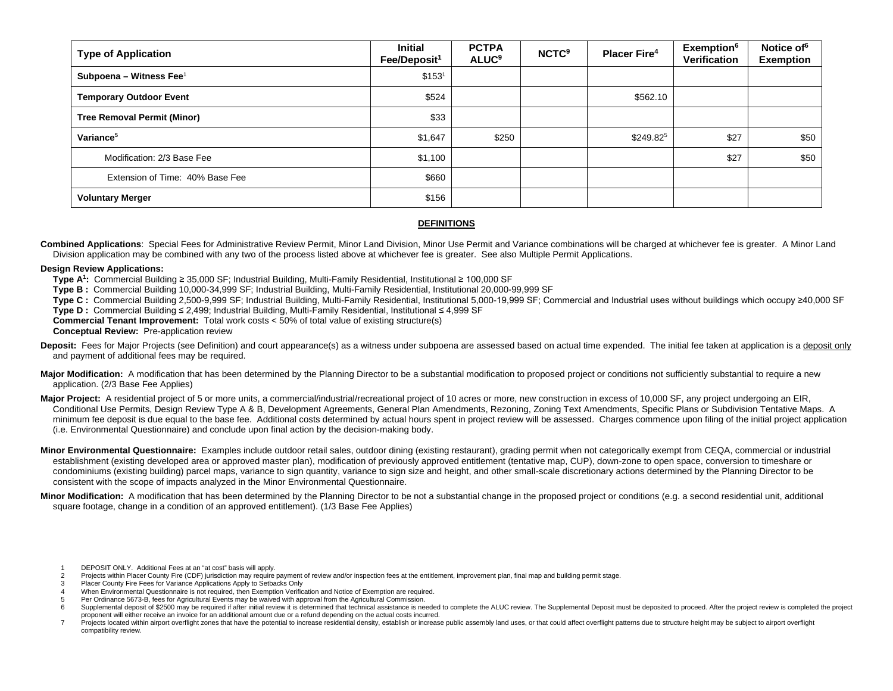| <b>Type of Application</b>         | <b>Initial</b><br>Fee/Deposit <sup>1</sup> | <b>PCTPA</b><br><b>ALUC<sup>9</sup></b> | <b>NCTC<sup>9</sup></b> | <b>Placer Fire<sup>4</sup></b> | <b>Exemption</b> <sup>6</sup><br><b>Verification</b> | Notice of <sup>6</sup><br><b>Exemption</b> |
|------------------------------------|--------------------------------------------|-----------------------------------------|-------------------------|--------------------------------|------------------------------------------------------|--------------------------------------------|
| Subpoena – Witness Fee $1$         | \$153 <sup>1</sup>                         |                                         |                         |                                |                                                      |                                            |
| <b>Temporary Outdoor Event</b>     | \$524                                      |                                         |                         | \$562.10                       |                                                      |                                            |
| <b>Tree Removal Permit (Minor)</b> | \$33                                       |                                         |                         |                                |                                                      |                                            |
| Variance <sup>5</sup>              | \$1,647                                    | \$250                                   |                         | $$249.82^5$                    | \$27                                                 | \$50                                       |
| Modification: 2/3 Base Fee         | \$1,100                                    |                                         |                         |                                | \$27                                                 | \$50                                       |
| Extension of Time: 40% Base Fee    | \$660                                      |                                         |                         |                                |                                                      |                                            |
| <b>Voluntary Merger</b>            | \$156                                      |                                         |                         |                                |                                                      |                                            |

# **DEFINITIONS**

**Combined Applications**: Special Fees for Administrative Review Permit, Minor Land Division, Minor Use Permit and Variance combinations will be charged at whichever fee is greater. A Minor Land Division application may be combined with any two of the process listed above at whichever fee is greater. See also Multiple Permit Applications.

#### **Design Review Applications:**

- **Type A1 :** Commercial Building ≥ 35,000 SF; Industrial Building, Multi-Family Residential, Institutional ≥ 100,000 SF
- **Type B :** Commercial Building 10,000-34,999 SF; Industrial Building, Multi-Family Residential, Institutional 20,000-99,999 SF
- **Type C :** Commercial Building 2,500-9,999 SF; Industrial Building, Multi-Family Residential, Institutional 5,000-19,999 SF; Commercial and Industrial uses without buildings which occupy ≥40,000 SF
- **Type D :** Commercial Building ≤ 2,499; Industrial Building, Multi-Family Residential, Institutional ≤ 4,999 SF

**Commercial Tenant Improvement:** Total work costs < 50% of total value of existing structure(s)

- **Conceptual Review:** Pre-application review
- Deposit: Fees for Major Projects (see Definition) and court appearance(s) as a witness under subpoena are assessed based on actual time expended. The initial fee taken at application is a deposit only and payment of additional fees may be required.
- Major Modification: A modification that has been determined by the Planning Director to be a substantial modification to proposed project or conditions not sufficiently substantial to require a new application. (2/3 Base Fee Applies)
- Major Project: A residential project of 5 or more units, a commercial/industrial/recreational project of 10 acres or more, new construction in excess of 10,000 SF, any project undergoing an EIR, Conditional Use Permits, Design Review Type A & B, Development Agreements, General Plan Amendments, Rezoning, Zoning Text Amendments, Specific Plans or Subdivision Tentative Maps. A minimum fee deposit is due equal to the base fee. Additional costs determined by actual hours spent in project review will be assessed. Charges commence upon filing of the initial project application (i.e. Environmental Questionnaire) and conclude upon final action by the decision-making body.
- **Minor Environmental Questionnaire:** Examples include outdoor retail sales, outdoor dining (existing restaurant), grading permit when not categorically exempt from CEQA, commercial or industrial establishment (existing developed area or approved master plan), modification of previously approved entitlement (tentative map, CUP), down-zone to open space, conversion to timeshare or condominiums (existing building) parcel maps, variance to sign quantity, variance to sign size and height, and other small-scale discretionary actions determined by the Planning Director to be consistent with the scope of impacts analyzed in the Minor Environmental Questionnaire.
- **Minor Modification:** A modification that has been determined by the Planning Director to be not a substantial change in the proposed project or conditions (e.g. a second residential unit, additional square footage, change in a condition of an approved entitlement). (1/3 Base Fee Applies)
	- 1 DEPOSIT ONLY. Additional Fees at an "at cost" basis will apply.<br>2 Projects within Placer County Fire (CDF) jurisdiction may require
	- Projects within Placer County Fire (CDF) jurisdiction may require payment of review and/or inspection fees at the entitlement, improvement plan, final map and building permit stage.
	- 3 Placer County Fire Fees for Variance Applications Apply to Setbacks Only
	- 4 When Environmental Questionnaire is not required, then Exemption Verification and Notice of Exemption are required.
	- 5 Per Ordinance 5673-B, fees for Agricultural Events may be waived with approval from the Agricultural Commission.<br>6 Supplemental deposit of \$2500 may be required if after initial review it is determined that technical ass

Supplemental deposit of \$2500 may be required if after initial review it is determined that technical assistance is needed to complete the ALUC review. The Supplemental Deposit must be deposited to proceed. After the proje proponent will either receive an invoice for an additional amount due or a refund depending on the actual costs incurred.

<sup>7</sup> Projects located within airport overflight zones that have the potential to increase residential density, establish or increase public assembly land uses, or that could affect overflight patterns due to structure height compatibility review.